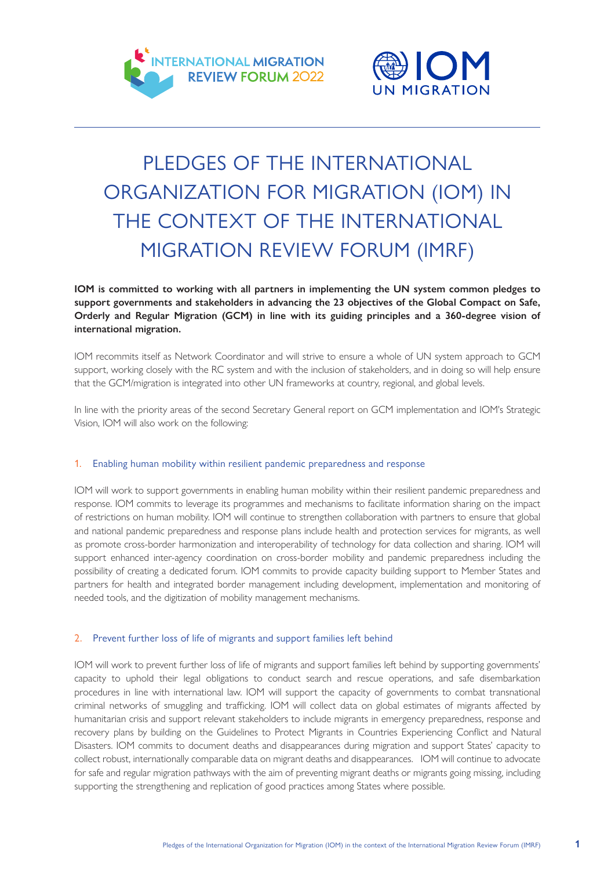



# PLEDGES OF THE INTERNATIONAL ORGANIZATION FOR MIGRATION (IOM) IN THE CONTEXT OF THE INTERNATIONAL MIGRATION REVIEW FORUM (IMRF)

**IOM is committed to working with all partners in implementing the UN system common pledges to support governments and stakeholders in advancing the 23 objectives of the Global Compact on Safe, Orderly and Regular Migration (GCM) in line with its guiding principles and a 360-degree vision of international migration.** 

IOM recommits itself as Network Coordinator and will strive to ensure a whole of UN system approach to GCM support, working closely with the RC system and with the inclusion of stakeholders, and in doing so will help ensure that the GCM/migration is integrated into other UN frameworks at country, regional, and global levels.

In line with the priority areas of the second Secretary General report on GCM implementation and IOM's Strategic Vision, IOM will also work on the following:

## 1. Enabling human mobility within resilient pandemic preparedness and response

IOM will work to support governments in enabling human mobility within their resilient pandemic preparedness and response. IOM commits to leverage its programmes and mechanisms to facilitate information sharing on the impact of restrictions on human mobility. IOM will continue to strengthen collaboration with partners to ensure that global and national pandemic preparedness and response plans include health and protection services for migrants, as well as promote cross-border harmonization and interoperability of technology for data collection and sharing. IOM will support enhanced inter-agency coordination on cross-border mobility and pandemic preparedness including the possibility of creating a dedicated forum. IOM commits to provide capacity building support to Member States and partners for health and integrated border management including development, implementation and monitoring of needed tools, and the digitization of mobility management mechanisms.

## 2. Prevent further loss of life of migrants and support families left behind

IOM will work to prevent further loss of life of migrants and support families left behind by supporting governments' capacity to uphold their legal obligations to conduct search and rescue operations, and safe disembarkation procedures in line with international law. IOM will support the capacity of governments to combat transnational criminal networks of smuggling and trafficking. IOM will collect data on global estimates of migrants affected by humanitarian crisis and support relevant stakeholders to include migrants in emergency preparedness, response and recovery plans by building on the Guidelines to Protect Migrants in Countries Experiencing Conflict and Natural Disasters. IOM commits to document deaths and disappearances during migration and support States' capacity to collect robust, internationally comparable data on migrant deaths and disappearances. IOM will continue to advocate for safe and regular migration pathways with the aim of preventing migrant deaths or migrants going missing, including supporting the strengthening and replication of good practices among States where possible.